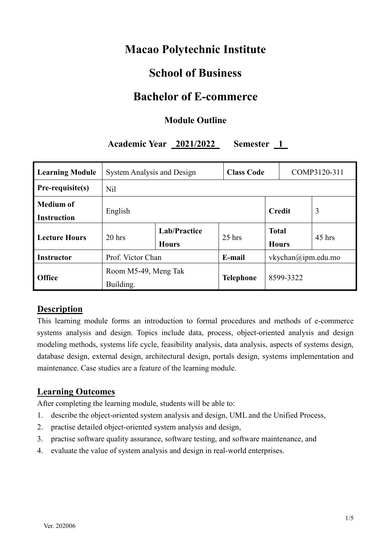# **Macao Polytechnic Institute**

# **School of Business**

## **Bachelor of E-commerce**

## **Module Outline**

## **Academic Year 2021/2022 Semester 1**

| <b>Learning Module</b>                 | <b>System Analysis and Design</b> | <b>Class Code</b>            |                    |                    | COMP3120-311 |          |
|----------------------------------------|-----------------------------------|------------------------------|--------------------|--------------------|--------------|----------|
| Pre-requisite(s)                       | Nil                               |                              |                    |                    |              |          |
| <b>Medium of</b><br><b>Instruction</b> | English                           |                              | 3<br><b>Credit</b> |                    |              |          |
| <b>Lecture Hours</b>                   | $20$ hrs                          | Lab/Practice<br><b>Hours</b> | $25$ hrs           | <b>Total</b>       | <b>Hours</b> | $45$ hrs |
| <b>Instructor</b>                      | Prof. Victor Chan                 |                              | E-mail             | vkychan@ipm.edu.mo |              |          |
| <b>Office</b>                          | Room M5-49, Meng Tak<br>Building. |                              | <b>Telephone</b>   | 8599-3322          |              |          |

#### **Description**

This learning module forms an introduction to formal procedures and methods of e-commerce systems analysis and design. Topics include data, process, object-oriented analysis and design modeling methods, systems life cycle, feasibility analysis, data analysis, aspects of systems design, database design, external design, architectural design, portals design, systems implementation and maintenance. Case studies are a feature of the learning module.

## **Learning Outcomes**

After completing the learning module, students will be able to:

- 1. describe the object-oriented system analysis and design, UML and the Unified Process,
- 2. practise detailed object-oriented system analysis and design,
- 3. practise software quality assurance, software testing, and software maintenance, and
- 4. evaluate the value of system analysis and design in real-world enterprises.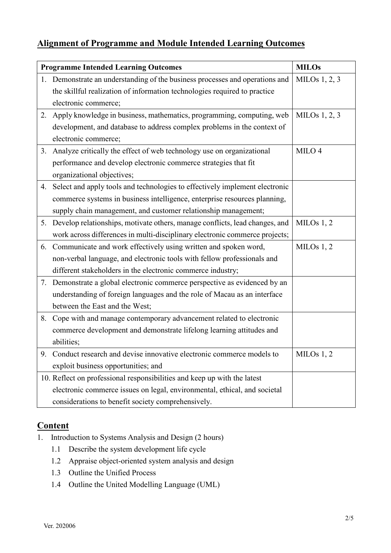## **Alignment of Programme and Module Intended Learning Outcomes**

|    | <b>Programme Intended Learning Outcomes</b>                                    | <b>MILOs</b>      |
|----|--------------------------------------------------------------------------------|-------------------|
|    | 1. Demonstrate an understanding of the business processes and operations and   | MILOs $1, 2, 3$   |
|    | the skillful realization of information technologies required to practice      |                   |
|    | electronic commerce;                                                           |                   |
| 2. | Apply knowledge in business, mathematics, programming, computing, web          | MILOs $1, 2, 3$   |
|    | development, and database to address complex problems in the context of        |                   |
|    | electronic commerce;                                                           |                   |
| 3. | Analyze critically the effect of web technology use on organizational          | MILO <sub>4</sub> |
|    | performance and develop electronic commerce strategies that fit                |                   |
|    | organizational objectives;                                                     |                   |
| 4. | Select and apply tools and technologies to effectively implement electronic    |                   |
|    | commerce systems in business intelligence, enterprise resources planning,      |                   |
|    | supply chain management, and customer relationship management;                 |                   |
|    | 5. Develop relationships, motivate others, manage conflicts, lead changes, and | MILOs $1, 2$      |
|    | work across differences in multi-disciplinary electronic commerce projects;    |                   |
|    | 6. Communicate and work effectively using written and spoken word,             | MILOs $1, 2$      |
|    | non-verbal language, and electronic tools with fellow professionals and        |                   |
|    | different stakeholders in the electronic commerce industry;                    |                   |
| 7. | Demonstrate a global electronic commerce perspective as evidenced by an        |                   |
|    | understanding of foreign languages and the role of Macau as an interface       |                   |
|    | between the East and the West;                                                 |                   |
| 8. | Cope with and manage contemporary advancement related to electronic            |                   |
|    | commerce development and demonstrate lifelong learning attitudes and           |                   |
|    | abilities;                                                                     |                   |
|    | 9. Conduct research and devise innovative electronic commerce models to        | MILOs $1, 2$      |
|    | exploit business opportunities; and                                            |                   |
|    | 10. Reflect on professional responsibilities and keep up with the latest       |                   |
|    | electronic commerce issues on legal, environmental, ethical, and societal      |                   |
|    | considerations to benefit society comprehensively.                             |                   |

## **Content**

- 1. Introduction to Systems Analysis and Design (2 hours)
	- 1.1 Describe the system development life cycle
	- 1.2 Appraise object-oriented system analysis and design
	- 1.3 Outline the Unified Process
	- 1.4 Outline the United Modelling Language (UML)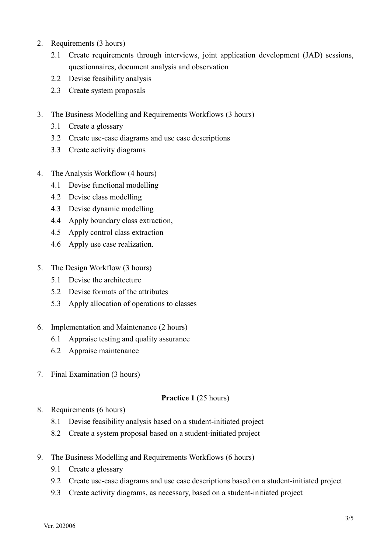- 2. Requirements (3 hours)
	- 2.1 Create requirements through interviews, joint application development (JAD) sessions, questionnaires, document analysis and observation
	- 2.2 Devise feasibility analysis
	- 2.3 Create system proposals
- 3. The Business Modelling and Requirements Workflows (3 hours)
	- 3.1 Create a glossary
	- 3.2 Create use-case diagrams and use case descriptions
	- 3.3 Create activity diagrams
- 4. The Analysis Workflow (4 hours)
	- 4.1 Devise functional modelling
	- 4.2 Devise class modelling
	- 4.3 Devise dynamic modelling
	- 4.4 Apply boundary class extraction,
	- 4.5 Apply control class extraction
	- 4.6 Apply use case realization.
- 5. The Design Workflow (3 hours)
	- 5.1 Devise the architecture
	- 5.2 Devise formats of the attributes
	- 5.3 Apply allocation of operations to classes
- 6. Implementation and Maintenance (2 hours)
	- 6.1 Appraise testing and quality assurance
	- 6.2 Appraise maintenance
- 7. Final Examination (3 hours)

#### **Practice 1** (25 hours)

- 8. Requirements (6 hours)
	- 8.1 Devise feasibility analysis based on a student-initiated project
	- 8.2 Create a system proposal based on a student-initiated project
- 9. The Business Modelling and Requirements Workflows (6 hours)
	- 9.1 Create a glossary
	- 9.2 Create use-case diagrams and use case descriptions based on a student-initiated project
	- 9.3 Create activity diagrams, as necessary, based on a student-initiated project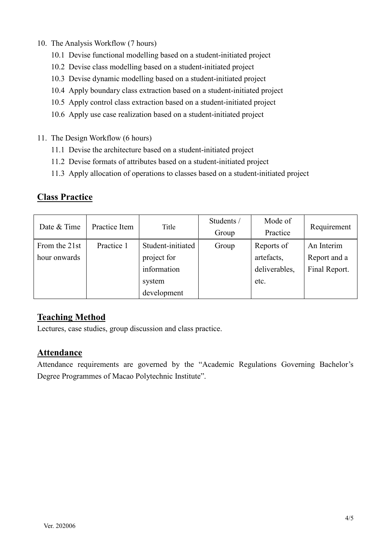- 10. The Analysis Workflow (7 hours)
	- 10.1 Devise functional modelling based on a student-initiated project
	- 10.2 Devise class modelling based on a student-initiated project
	- 10.3 Devise dynamic modelling based on a student-initiated project
	- 10.4 Apply boundary class extraction based on a student-initiated project
	- 10.5 Apply control class extraction based on a student-initiated project
	- 10.6 Apply use case realization based on a student-initiated project
- 11. The Design Workflow (6 hours)
	- 11.1 Devise the architecture based on a student-initiated project
	- 11.2 Devise formats of attributes based on a student-initiated project
	- 11.3 Apply allocation of operations to classes based on a student-initiated project

#### **Class Practice**

| Date & Time   | Practice Item | Title             | Students /<br>Group | Mode of<br>Practice | Requirement   |
|---------------|---------------|-------------------|---------------------|---------------------|---------------|
| From the 21st | Practice 1    | Student-initiated | Group               | Reports of          | An Interim    |
| hour onwards  |               | project for       |                     | artefacts,          | Report and a  |
|               |               | information       |                     | deliverables,       | Final Report. |
|               |               | system            |                     | etc.                |               |
|               |               | development       |                     |                     |               |

## **Teaching Method**

Lectures, case studies, group discussion and class practice.

#### **Attendance**

Attendance requirements are governed by the "Academic Regulations Governing Bachelor's Degree Programmes of Macao Polytechnic Institute".